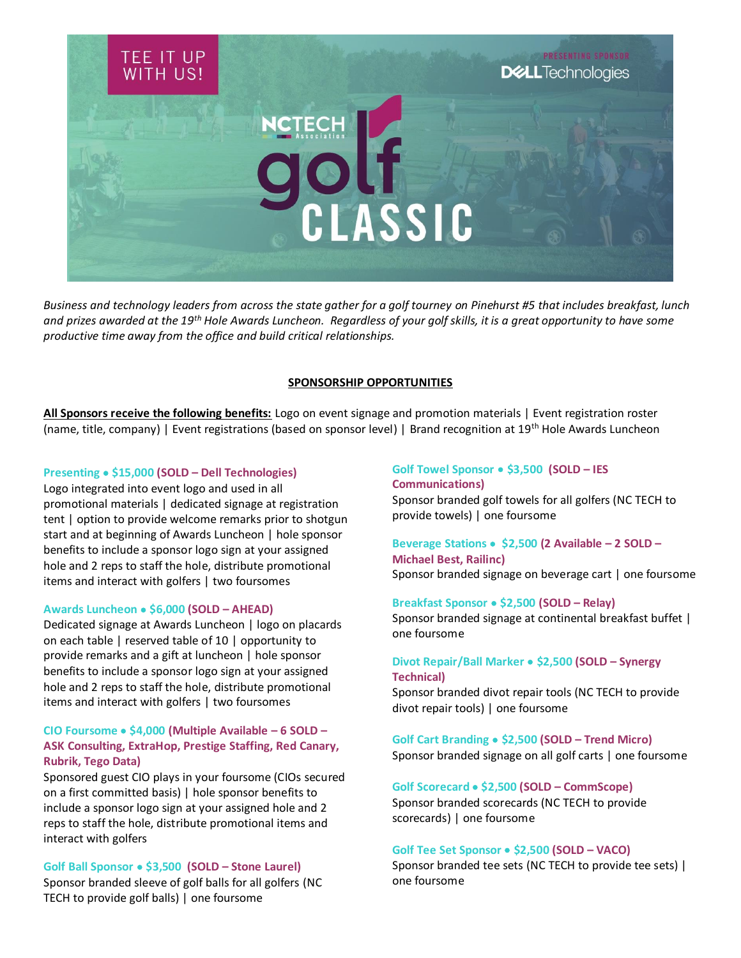

*Business and technology leaders from across the state gather for a golf tourney on Pinehurst #5 that includes breakfast, lunch and prizes awarded at the 19th Hole Awards Luncheon. Regardless of your golf skills, it is a great opportunity to have some productive time away from the office and build critical relationships.* 

### **SPONSORSHIP OPPORTUNITIES**

**All Sponsors receive the following benefits:** Logo on event signage and promotion materials | Event registration roster (name, title, company) | Event registrations (based on sponsor level) | Brand recognition at 19th Hole Awards Luncheon

#### **Presenting** • **\$15,000 (SOLD – Dell Technologies)**

Logo integrated into event logo and used in all promotional materials | dedicated signage at registration tent | option to provide welcome remarks prior to shotgun start and at beginning of Awards Luncheon | hole sponsor benefits to include a sponsor logo sign at your assigned hole and 2 reps to staff the hole, distribute promotional items and interact with golfers | two foursomes

#### **Awards Luncheon** • **\$6,000 (SOLD – AHEAD)**

Dedicated signage at Awards Luncheon | logo on placards on each table | reserved table of 10 | opportunity to provide remarks and a gift at luncheon | hole sponsor benefits to include a sponsor logo sign at your assigned hole and 2 reps to staff the hole, distribute promotional items and interact with golfers | two foursomes

# **CIO Foursome** • **\$4,000 (Multiple Available – 6 SOLD – ASK Consulting, ExtraHop, Prestige Staffing, Red Canary, Rubrik, Tego Data)**

Sponsored guest CIO plays in your foursome (CIOs secured on a first committed basis) | hole sponsor benefits to include a sponsor logo sign at your assigned hole and 2 reps to staff the hole, distribute promotional items and interact with golfers

**Golf Ball Sponsor** • **\$3,500 (SOLD – Stone Laurel)** Sponsor branded sleeve of golf balls for all golfers (NC TECH to provide golf balls) | one foursome

**Golf Towel Sponsor** • **\$3,500 (SOLD – IES Communications)** Sponsor branded golf towels for all golfers (NC TECH to provide towels) | one foursome

**Beverage Stations** • **\$2,500 (2 Available – 2 SOLD – Michael Best, Railinc)** Sponsor branded signage on beverage cart | one foursome

**Breakfast Sponsor** • **\$2,500 (SOLD – Relay)** Sponsor branded signage at continental breakfast buffet | one foursome

**Divot Repair/Ball Marker** • **\$2,500 (SOLD – Synergy Technical)** Sponsor branded divot repair tools (NC TECH to provide

divot repair tools) | one foursome

**Golf Cart Branding** • **\$2,500 (SOLD – Trend Micro)** Sponsor branded signage on all golf carts | one foursome

**Golf Scorecard** • **\$2,500 (SOLD – CommScope)** Sponsor branded scorecards (NC TECH to provide scorecards) | one foursome

#### **Golf Tee Set Sponsor** • **\$2,500 (SOLD – VACO)**

Sponsor branded tee sets (NC TECH to provide tee sets) | one foursome